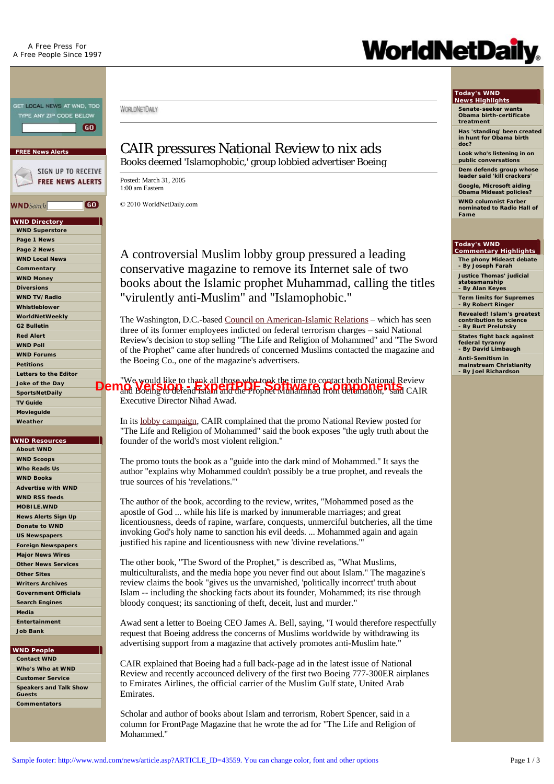

**[US Newspapers](http://www.wnd.com/U.S.%20Newspapers) [Foreign Newspapers](http://www.wnd.com/Foreign%20Newspapers) [Major News Wires](http://www.wnd.com/Major%20News%20Wires) [Other News Services](http://www.wnd.com/Other%20News%20Services) [Other Sites](http://www.wnd.com/Other%20Sites) [Writers Archives](http://www.wnd.com/index.php?pageId=33) [Government Officials](http://www.visi.com/juan/congress/) [Search Engines](http://www.wnd.com/Search%20Engines) [Media](http://www.wnd.com/Media) [Entertainment](http://www.wnd.com/Entertainment) [Job Bank](http://www.wnd.com/job-bank)**

**WND People [Contact WND](http://www.wnd.com/Contact%20WND) [Who's Who at WND](http://www.wnd.com/Who) [Customer Service](http://superstore.wnd.com/about/contact.asp) [Speakers and Talk Show](http://www.wnd.com/index.php?pageId=57616)** 

**Guests [Commentators](http://www.wnd.com/index.php?fa=PAGE.view&pageId=46)**

## CAIR pressures National Review to nix ads Books deemed 'Islamophobic,' group lobbied advertiser Boeing

Posted: March 31, 2005 1:00 am Eastern

WORLDNETDAILY

© 2010 WorldNetDaily.com

A controversial Muslim lobby group pressured a leading conservative magazine to remove its Internet sale of two books about the Islamic prophet Muhammad, calling the titles "virulently anti-Muslim" and "Islamophobic."

The Washington, D.C.-based [Council on American-Islamic Relations](http://www.cairnet.org/) – which has seen three of its former employees indicted on federal terrorism charges – said National Review's decision to stop selling "The Life and Religion of Mohammed" and "The Sword of the Prophet" came after hundreds of concerned Muslims contacted the magazine and the Boeing Co., one of the magazine's advertisers.

"We would like to thank all those who took the time to contact both National Review **Dem<sub>o</sub> Weils Hotels in the Superprophet Muhammad from defamation, it is componented from the Prophet Muhammad from default of the Prophet Muhammad from default in Social CAIR and CAIR and CAIR and CAIR and CAIR and CAIR a** Executive Director Nihad Awad.

In its [lobby campaign](http://cair.com/default.asp?Page=articleView&id=224&theType=AA), CAIR complained that the promo National Review posted for "The Life and Religion of Mohammed" said the book exposes "the ugly truth about the founder of the world's most violent religion."

The promo touts the book as a "guide into the dark mind of Mohammed." It says the author "explains why Mohammed couldn't possibly be a true prophet, and reveals the true sources of his 'revelations.'"

The author of the book, according to the review, writes, "Mohammed posed as the apostle of God ... while his life is marked by innumerable marriages; and great licentiousness, deeds of rapine, warfare, conquests, unmerciful butcheries, all the time invoking God's holy name to sanction his evil deeds. ... Mohammed again and again justified his rapine and licentiousness with new 'divine revelations.'"

The other book, "The Sword of the Prophet," is described as, "What Muslims, multiculturalists, and the media hope you never find out about Islam." The magazine's review claims the book "gives us the unvarnished, 'politically incorrect' truth about Islam -- including the shocking facts about its founder, Mohammed; its rise through bloody conquest; its sanctioning of theft, deceit, lust and murder."

Awad sent a letter to Boeing CEO James A. Bell, saying, "I would therefore respectfully request that Boeing address the concerns of Muslims worldwide by withdrawing its advertising support from a magazine that actively promotes anti-Muslim hate."

CAIR explained that Boeing had a full back-page ad in the latest issue of National Review and recently accounced delivery of the first two Boeing 777-300ER airplanes to Emirates Airlines, the official carrier of the Muslim Gulf state, United Arab Emirates.

Scholar and author of books about Islam and terrorism, Robert Spencer, said in a column for FrontPage Magazine that he wrote the ad for "The Life and Religion of Mohammed."

# **WorldNetDaily**

# **Today's WND News Highlights**

**Senate-seeker wants Obama birth-certificate treatment**

**Has 'standing' been created in hunt for Obama birth doc?** 

**Look who's listening in on public conversations** 

**Dem defends group whose leader said 'kill crackers'** 

**Google, Microsoft aiding Obama Mideast policies? WND columnist Farber** 

**nominated to Radio Hall of Fame**

#### **Today's WND Commentary Highlights**

**The phony Mideast debate - By Joseph Farah**

**Justice Thomas' judicial statesmanship**

**- By Alan Keyes Term limits for Supremes**

**- By Robert Ringer Revealed! Islam's greatest contribution to science - By Burt Prelutsky**

**States fight back against federal tyranny - By David Limbaugh**

**Anti-Semitism in mainstream Christianity - By Joel Richardson**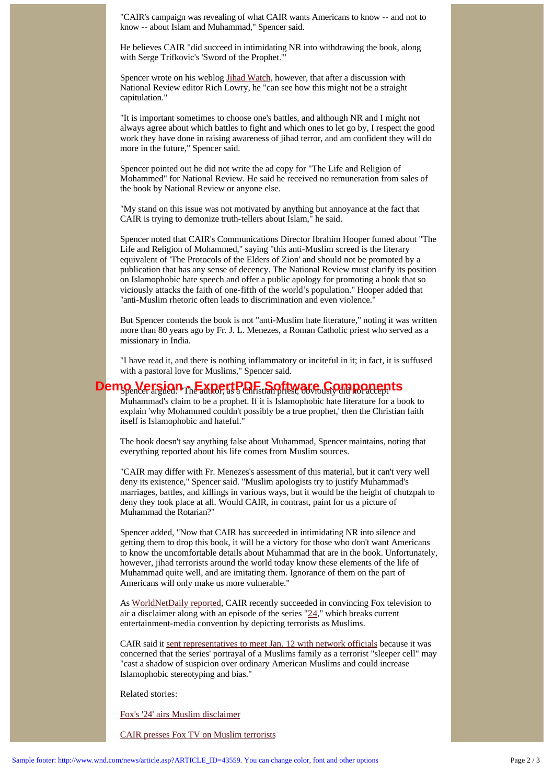"CAIR's campaign was revealing of what CAIR wants Americans to know -- and not to know -- about Islam and Muhammad," Spencer said.

He believes CAIR "did succeed in intimidating NR into withdrawing the book, along with Serge Trifkovic's 'Sword of the Prophet.'"

Spencer wrote on his weblog [Jihad Watch,](http://www.jihadwatch.org/) however, that after a discussion with National Review editor Rich Lowry, he "can see how this might not be a straight capitulation."

"It is important sometimes to choose one's battles, and although NR and I might not always agree about which battles to fight and which ones to let go by, I respect the good work they have done in raising awareness of jihad terror, and am confident they will do more in the future," Spencer said.

Spencer pointed out he did not write the ad copy for "The Life and Religion of Mohammed" for National Review. He said he received no remuneration from sales of the book by National Review or anyone else.

"My stand on this issue was not motivated by anything but annoyance at the fact that CAIR is trying to demonize truth-tellers about Islam," he said.

Spencer noted that CAIR's Communications Director Ibrahim Hooper fumed about "The Life and Religion of Mohammed," saying "this anti-Muslim screed is the literary equivalent of 'The Protocols of the Elders of Zion' and should not be promoted by a publication that has any sense of decency. The National Review must clarify its position on Islamophobic hate speech and offer a public apology for promoting a book that so viciously attacks the faith of one-fifth of the world's population." Hooper added that "anti-Muslim rhetoric often leads to discrimination and even violence."

But Spencer contends the book is not "anti-Muslim hate literature," noting it was written more than 80 years ago by Fr. J. L. Menezes, a Roman Catholic priest who served as a missionary in India.

"I have read it, and there is nothing inflammatory or inciteful in it; in fact, it is suffused with a pastoral love for Muslims," Spencer said.

## Demo Version <sub>The</sub> ApertPDF Software Components

Muhammad's claim to be a prophet. If it is Islamophobic hate literature for a book to explain 'why Mohammed couldn't possibly be a true prophet,' then the Christian faith itself is Islamophobic and hateful."

The book doesn't say anything false about Muhammad, Spencer maintains, noting that everything reported about his life comes from Muslim sources.

"CAIR may differ with Fr. Menezes's assessment of this material, but it can't very well deny its existence," Spencer said. "Muslim apologists try to justify Muhammad's marriages, battles, and killings in various ways, but it would be the height of chutzpah to deny they took place at all. Would CAIR, in contrast, paint for us a picture of Muhammad the Rotarian?"

Spencer added, "Now that CAIR has succeeded in intimidating NR into silence and getting them to drop this book, it will be a victory for those who don't want Americans to know the uncomfortable details about Muhammad that are in the book. Unfortunately, however, jihad terrorists around the world today know these elements of the life of Muhammad quite well, and are imitating them. Ignorance of them on the part of Americans will only make us more vulnerable."

As [WorldNetDaily reported,](http://www.wnd.com/news/article.asp?ARTICLE_ID=42770) CAIR recently succeeded in convincing Fox television to air a disclaimer along with an episode of the series  $"24"$ , which breaks current entertainment-media convention by depicting terrorists as Muslims.

CAIR said it [sent representatives to meet Jan. 12 with network officials](http://www.wnd.com/news/article.asp?ARTICLE_ID=42393) because it was concerned that the series' portrayal of a Muslims family as a terrorist "sleeper cell" may "cast a shadow of suspicion over ordinary American Muslims and could increase Islamophobic stereotyping and bias."

Related stories:

[Fox's '24' airs Muslim disclaimer](http://www.wnd.com/news/article.asp?ARTICLE_ID=42770)

[CAIR presses Fox TV on Muslim terrorists](http://www.wnd.com/news/article.asp?ARTICLE_ID=42393)